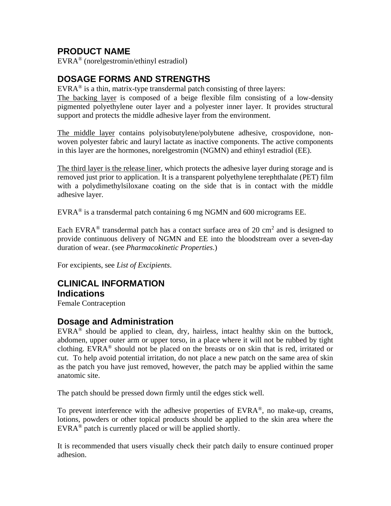## **PRODUCT NAME**

EVRA® (norelgestromin/ethinyl estradiol)

## **DOSAGE FORMS AND STRENGTHS**

EVRA<sup>®</sup> is a thin, matrix-type transdermal patch consisting of three layers:

The backing layer is composed of a beige flexible film consisting of a low-density pigmented polyethylene outer layer and a polyester inner layer. It provides structural support and protects the middle adhesive layer from the environment.

The middle layer contains polyisobutylene/polybutene adhesive, crospovidone, nonwoven polyester fabric and lauryl lactate as inactive components. The active components in this layer are the hormones, norelgestromin (NGMN) and ethinyl estradiol (EE).

The third layer is the release liner, which protects the adhesive layer during storage and is removed just prior to application. It is a transparent polyethylene terephthalate (PET) film with a polydimethylsiloxane coating on the side that is in contact with the middle adhesive layer.

EVRA<sup>®</sup> is a transdermal patch containing 6 mg NGMN and 600 micrograms EE.

Each EVRA<sup>®</sup> transdermal patch has a contact surface area of 20 cm<sup>2</sup> and is designed to provide continuous delivery of NGMN and EE into the bloodstream over a seven-day duration of wear. (see *Pharmacokinetic Properties*.)

For excipients, see *List of Excipients*.

### **CLINICAL INFORMATION Indications**

Female Contraception

## **Dosage and Administration**

 $EVRA^{\otimes}$  should be applied to clean, dry, hairless, intact healthy skin on the buttock, abdomen, upper outer arm or upper torso, in a place where it will not be rubbed by tight clothing. EVRA<sup>®</sup> should not be placed on the breasts or on skin that is red, irritated or cut. To help avoid potential irritation, do not place a new patch on the same area of skin as the patch you have just removed, however, the patch may be applied within the same anatomic site.

The patch should be pressed down firmly until the edges stick well.

To prevent interference with the adhesive properties of EVRA®, no make-up, creams, lotions, powders or other topical products should be applied to the skin area where the EVRA® patch is currently placed or will be applied shortly.

It is recommended that users visually check their patch daily to ensure continued proper adhesion.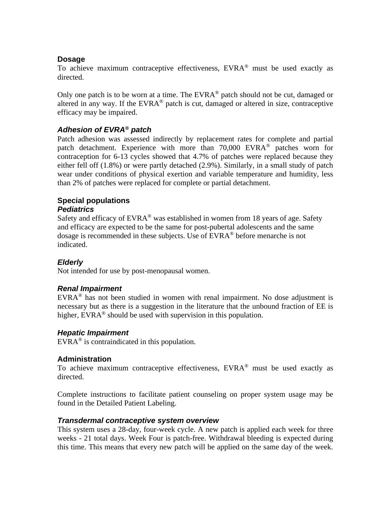### **Dosage**

To achieve maximum contraceptive effectiveness,  $EVRA^{\otimes}$  must be used exactly as directed.

Only one patch is to be worn at a time. The EVRA<sup>®</sup> patch should not be cut, damaged or altered in any way. If the  $EVRA^{\otimes}$  patch is cut, damaged or altered in size, contraceptive efficacy may be impaired.

### *Adhesion of EVRA® patch*

Patch adhesion was assessed indirectly by replacement rates for complete and partial patch detachment. Experience with more than  $70,000$  EVRA<sup>®</sup> patches worn for contraception for 6-13 cycles showed that 4.7% of patches were replaced because they either fell off (1.8%) or were partly detached (2.9%). Similarly, in a small study of patch wear under conditions of physical exertion and variable temperature and humidity, less than 2% of patches were replaced for complete or partial detachment.

#### **Special populations**  *Pediatrics*

Safety and efficacy of  $EVARA^{\circledast}$  was established in women from 18 years of age. Safety and efficacy are expected to be the same for post-pubertal adolescents and the same dosage is recommended in these subjects. Use of EVRA® before menarche is not indicated.

### *Elderly*

Not intended for use by post-menopausal women.

### *Renal Impairment*

EVRA® has not been studied in women with renal impairment. No dose adjustment is necessary but as there is a suggestion in the literature that the unbound fraction of EE is higher,  $EVARA^{\circledast}$  should be used with supervision in this population.

### *Hepatic Impairment*

EVRA® is contraindicated in this population.

#### **Administration**

To achieve maximum contraceptive effectiveness, EVRA® must be used exactly as directed.

Complete instructions to facilitate patient counseling on proper system usage may be found in the Detailed Patient Labeling.

#### *Transdermal contraceptive system overview*

This system uses a 28-day, four-week cycle. A new patch is applied each week for three weeks - 21 total days. Week Four is patch-free. Withdrawal bleeding is expected during this time. This means that every new patch will be applied on the same day of the week.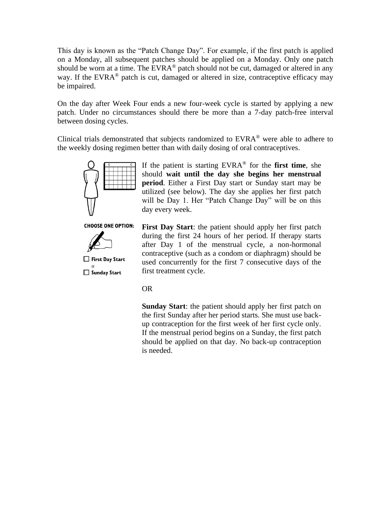This day is known as the "Patch Change Day". For example, if the first patch is applied on a Monday, all subsequent patches should be applied on a Monday. Only one patch should be worn at a time. The EVRA® patch should not be cut, damaged or altered in any way. If the EVRA<sup>®</sup> patch is cut, damaged or altered in size, contraceptive efficacy may be impaired.

On the day after Week Four ends a new four-week cycle is started by applying a new patch. Under no circumstances should there be more than a 7-day patch-free interval between dosing cycles.

Clinical trials demonstrated that subjects randomized to EVRA® were able to adhere to the weekly dosing regimen better than with daily dosing of oral contraceptives.



If the patient is starting EVRA® for the **first time**, she should **wait until the day she begins her menstrual period**. Either a First Day start or Sunday start may be utilized (see below). The day she applies her first patch will be Day 1. Her "Patch Change Day" will be on this day every week.

**CHOOSE ONE OPTION:** 



Sunday Start

**First Day Start**: the patient should apply her first patch during the first 24 hours of her period. If therapy starts after Day 1 of the menstrual cycle, a non-hormonal contraceptive (such as a condom or diaphragm) should be used concurrently for the first 7 consecutive days of the first treatment cycle.

#### OR

**Sunday Start**: the patient should apply her first patch on the first Sunday after her period starts. She must use backup contraception for the first week of her first cycle only. If the menstrual period begins on a Sunday, the first patch should be applied on that day. No back-up contraception is needed.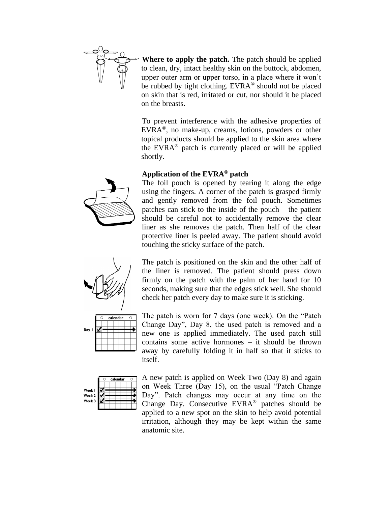

**Where to apply the patch.** The patch should be applied to clean, dry, intact healthy skin on the buttock, abdomen, upper outer arm or upper torso, in a place where it won't be rubbed by tight clothing. EVRA® should not be placed on skin that is red, irritated or cut, nor should it be placed on the breasts.

To prevent interference with the adhesive properties of EVRA®, no make-up, creams, lotions, powders or other topical products should be applied to the skin area where the EVRA® patch is currently placed or will be applied shortly.

### **Application of the EVRA® patch**



The foil pouch is opened by tearing it along the edge using the fingers. A corner of the patch is grasped firmly and gently removed from the foil pouch. Sometimes patches can stick to the inside of the pouch – the patient should be careful not to accidentally remove the clear liner as she removes the patch. Then half of the clear protective liner is peeled away. The patient should avoid touching the sticky surface of the patch.



|                  | calendar |  |  |  |  |  |
|------------------|----------|--|--|--|--|--|
|                  |          |  |  |  |  |  |
| Day $\mathsf{I}$ |          |  |  |  |  |  |
|                  |          |  |  |  |  |  |
|                  |          |  |  |  |  |  |

The patch is positioned on the skin and the other half of the liner is removed. The patient should press down firmly on the patch with the palm of her hand for 10 seconds, making sure that the edges stick well. She should check her patch every day to make sure it is sticking.

The patch is worn for 7 days (one week). On the "Patch Change Day", Day 8, the used patch is removed and a new one is applied immediately. The used patch still contains some active hormones – it should be thrown away by carefully folding it in half so that it sticks to itself.



A new patch is applied on Week Two (Day 8) and again on Week Three (Day 15), on the usual "Patch Change Day". Patch changes may occur at any time on the Change Day. Consecutive EVRA® patches should be applied to a new spot on the skin to help avoid potential irritation, although they may be kept within the same anatomic site.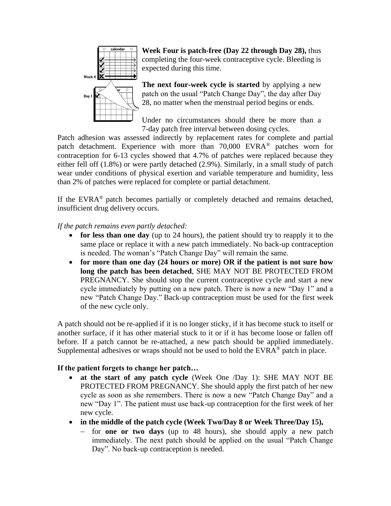

**Week Four is patch-free (Day 22 through Day 28),** thus completing the four-week contraceptive cycle. Bleeding is expected during this time.

**The next four-week cycle is started** by applying a new patch on the usual "Patch Change Day", the day after Day 28, no matter when the menstrual period begins or ends.

Under no circumstances should there be more than a 7-day patch free interval between dosing cycles.

Patch adhesion was assessed indirectly by replacement rates for complete and partial patch detachment. Experience with more than 70,000 EVRA® patches worn for contraception for 6-13 cycles showed that 4.7% of patches were replaced because they either fell off (1.8%) or were partly detached (2.9%). Similarly, in a small study of patch wear under conditions of physical exertion and variable temperature and humidity, less than 2% of patches were replaced for complete or partial detachment.

If the EVRA® patch becomes partially or completely detached and remains detached, insufficient drug delivery occurs.

*If the patch remains even partly detached:*

- **for less than one day** (up to 24 hours), the patient should try to reapply it to the same place or replace it with a new patch immediately. No back-up contraception is needed. The woman's "Patch Change Day" will remain the same.
- **for more than one day (24 hours or more) OR if the patient is not sure how long the patch has been detached**, SHE MAY NOT BE PROTECTED FROM PREGNANCY. She should stop the current contraceptive cycle and start a new cycle immediately by putting on a new patch. There is now a new "Day 1" and a new "Patch Change Day." Back-up contraception must be used for the first week of the new cycle only.

A patch should not be re-applied if it is no longer sticky, if it has become stuck to itself or another surface, if it has other material stuck to it or if it has become loose or fallen off before. If a patch cannot be re-attached, a new patch should be applied immediately. Supplemental adhesives or wraps should not be used to hold the  $EVARA^{\circledast}$  patch in place.

### **If the patient forgets to change her patch…**

- **at the start of any patch cycle** (Week One /Day 1): SHE MAY NOT BE PROTECTED FROM PREGNANCY. She should apply the first patch of her new cycle as soon as she remembers. There is now a new "Patch Change Day" and a new "Day 1". The patient must use back-up contraception for the first week of her new cycle.
- **in the middle of the patch cycle (Week Two/Day 8 or Week Three/Day 15),**
	- − for **one or two days** (up to 48 hours), she should apply a new patch immediately. The next patch should be applied on the usual "Patch Change Day". No back-up contraception is needed.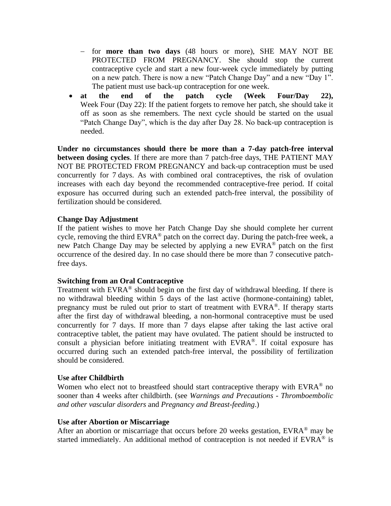- − for **more than two days** (48 hours or more), SHE MAY NOT BE PROTECTED FROM PREGNANCY. She should stop the current contraceptive cycle and start a new four-week cycle immediately by putting on a new patch. There is now a new "Patch Change Day" and a new "Day 1". The patient must use back-up contraception for one week.
- **at the end of the patch cycle (Week Four/Day 22),**  Week Four (Day 22): If the patient forgets to remove her patch, she should take it off as soon as she remembers. The next cycle should be started on the usual "Patch Change Day", which is the day after Day 28. No back-up contraception is needed.

**Under no circumstances should there be more than a 7-day patch-free interval between dosing cycles**. If there are more than 7 patch-free days, THE PATIENT MAY NOT BE PROTECTED FROM PREGNANCY and back-up contraception must be used concurrently for 7 days. As with combined oral contraceptives, the risk of ovulation increases with each day beyond the recommended contraceptive-free period. If coital exposure has occurred during such an extended patch-free interval, the possibility of fertilization should be considered.

#### **Change Day Adjustment**

If the patient wishes to move her Patch Change Day she should complete her current cycle, removing the third  $EVRA^{\otimes}$  patch on the correct day. During the patch-free week, a new Patch Change Day may be selected by applying a new EVRA® patch on the first occurrence of the desired day. In no case should there be more than 7 consecutive patchfree days.

#### **Switching from an Oral Contraceptive**

Treatment with  $EVRA^{\otimes}$  should begin on the first day of withdrawal bleeding. If there is no withdrawal bleeding within 5 days of the last active (hormone-containing) tablet, pregnancy must be ruled out prior to start of treatment with  $EVRA^{\otimes}$ . If therapy starts after the first day of withdrawal bleeding, a non-hormonal contraceptive must be used concurrently for 7 days. If more than 7 days elapse after taking the last active oral contraceptive tablet, the patient may have ovulated. The patient should be instructed to consult a physician before initiating treatment with  $EVRA^{\otimes}$ . If coital exposure has occurred during such an extended patch-free interval, the possibility of fertilization should be considered.

### **Use after Childbirth**

Women who elect not to breastfeed should start contraceptive therapy with  $EVAR<sup>®</sup>$  no sooner than 4 weeks after childbirth. (see *Warnings and Precautions - Thromboembolic and other vascular disorders* and *Pregnancy and Breast-feeding*.)

#### **Use after Abortion or Miscarriage**

After an abortion or miscarriage that occurs before 20 weeks gestation,  $EVRA^{\otimes}$  may be started immediately. An additional method of contraception is not needed if EVRA<sup>®</sup> is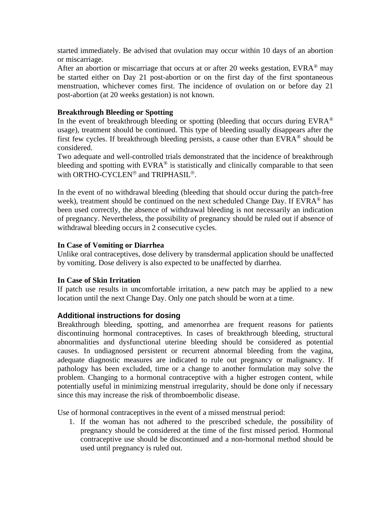started immediately. Be advised that ovulation may occur within 10 days of an abortion or miscarriage.

After an abortion or miscarriage that occurs at or after 20 weeks gestation,  $EVRA^{\circledast}$  may be started either on Day 21 post-abortion or on the first day of the first spontaneous menstruation, whichever comes first. The incidence of ovulation on or before day 21 post-abortion (at 20 weeks gestation) is not known.

#### **Breakthrough Bleeding or Spotting**

In the event of breakthrough bleeding or spotting (bleeding that occurs during  $EVARA^{\circledcirc}$ usage), treatment should be continued. This type of bleeding usually disappears after the first few cycles. If breakthrough bleeding persists, a cause other than  $EVRA^{\otimes}$  should be considered.

Two adequate and well-controlled trials demonstrated that the incidence of breakthrough bleeding and spotting with EVRA<sup>®</sup> is statistically and clinically comparable to that seen with ORTHO-CYCLEN<sup>®</sup> and TRIPHASIL<sup>®</sup>.

In the event of no withdrawal bleeding (bleeding that should occur during the patch-free week), treatment should be continued on the next scheduled Change Day. If EVRA<sup>®</sup> has been used correctly, the absence of withdrawal bleeding is not necessarily an indication of pregnancy. Nevertheless, the possibility of pregnancy should be ruled out if absence of withdrawal bleeding occurs in 2 consecutive cycles.

#### **In Case of Vomiting or Diarrhea**

Unlike oral contraceptives, dose delivery by transdermal application should be unaffected by vomiting. Dose delivery is also expected to be unaffected by diarrhea.

#### **In Case of Skin Irritation**

If patch use results in uncomfortable irritation, a new patch may be applied to a new location until the next Change Day. Only one patch should be worn at a time.

### **Additional instructions for dosing**

Breakthrough bleeding, spotting, and amenorrhea are frequent reasons for patients discontinuing hormonal contraceptives. In cases of breakthrough bleeding, structural abnormalities and dysfunctional uterine bleeding should be considered as potential causes. In undiagnosed persistent or recurrent abnormal bleeding from the vagina, adequate diagnostic measures are indicated to rule out pregnancy or malignancy. If pathology has been excluded, time or a change to another formulation may solve the problem. Changing to a hormonal contraceptive with a higher estrogen content, while potentially useful in minimizing menstrual irregularity, should be done only if necessary since this may increase the risk of thromboembolic disease.

Use of hormonal contraceptives in the event of a missed menstrual period:

1. If the woman has not adhered to the prescribed schedule, the possibility of pregnancy should be considered at the time of the first missed period. Hormonal contraceptive use should be discontinued and a non-hormonal method should be used until pregnancy is ruled out.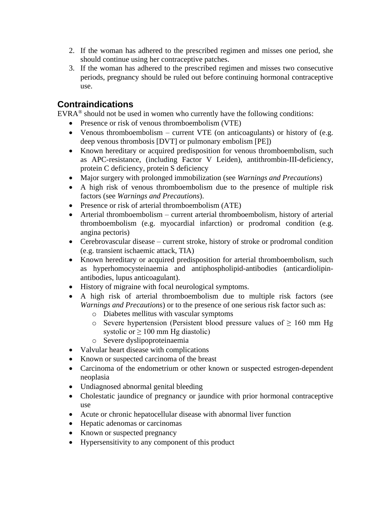- 2. If the woman has adhered to the prescribed regimen and misses one period, she should continue using her contraceptive patches.
- 3. If the woman has adhered to the prescribed regimen and misses two consecutive periods, pregnancy should be ruled out before continuing hormonal contraceptive use.

## **Contraindications**

 $EVRA^{\circledcirc}$  should not be used in women who currently have the following conditions:

- Presence or risk of venous thromboembolism (VTE)
- Venous thromboembolism current VTE (on anticoagulants) or history of (e.g. deep venous thrombosis [DVT] or pulmonary embolism [PE])
- Known hereditary or acquired predisposition for venous thromboembolism, such as APC-resistance, (including Factor V Leiden), antithrombin-III-deficiency, protein C deficiency, protein S deficiency
- Major surgery with prolonged immobilization (see *Warnings and Precautions*)
- A high risk of venous thromboembolism due to the presence of multiple risk factors (see *Warnings and Precautions*).
- Presence or risk of arterial thromboembolism (ATE)
- Arterial thromboembolism current arterial thromboembolism, history of arterial thromboembolism (e.g. myocardial infarction) or prodromal condition (e.g. angina pectoris)
- Cerebrovascular disease current stroke, history of stroke or prodromal condition (e.g. transient ischaemic attack, TIA)
- Known hereditary or acquired predisposition for arterial thromboembolism, such as hyperhomocysteinaemia and antiphospholipid-antibodies (anticardiolipinantibodies, lupus anticoagulant).
- History of migraine with focal neurological symptoms.
- A high risk of arterial thromboembolism due to multiple risk factors (see *Warnings and Precautions*) or to the presence of one serious risk factor such as:
	- o Diabetes mellitus with vascular symptoms
	- o Severe hypertension (Persistent blood pressure values of  $\geq 160$  mm Hg systolic or  $\geq 100$  mm Hg diastolic)
	- o Severe dyslipoproteinaemia
- Valvular heart disease with complications
- Known or suspected carcinoma of the breast
- Carcinoma of the endometrium or other known or suspected estrogen-dependent neoplasia
- Undiagnosed abnormal genital bleeding
- Cholestatic jaundice of pregnancy or jaundice with prior hormonal contraceptive use
- Acute or chronic hepatocellular disease with abnormal liver function
- Hepatic adenomas or carcinomas
- Known or suspected pregnancy
- Hypersensitivity to any component of this product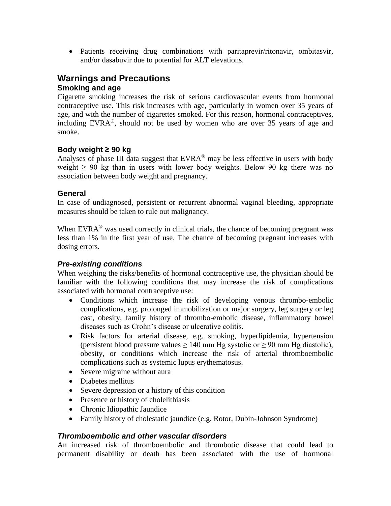• Patients receiving drug combinations with paritaprevir/ritonavir, ombitasvir, and/or dasabuvir due to potential for ALT elevations.

## **Warnings and Precautions Smoking and age**

Cigarette smoking increases the risk of serious cardiovascular events from hormonal contraceptive use. This risk increases with age, particularly in women over 35 years of age, and with the number of cigarettes smoked. For this reason, hormonal contraceptives, including EVRA®, should not be used by women who are over 35 years of age and smoke.

### **Body weight ≥ 90 kg**

Analyses of phase III data suggest that  $EVRA^{\otimes}$  may be less effective in users with body weight  $\geq 90$  kg than in users with lower body weights. Below 90 kg there was no association between body weight and pregnancy.

### **General**

In case of undiagnosed, persistent or recurrent abnormal vaginal bleeding, appropriate measures should be taken to rule out malignancy.

When EVR $A^{\circ}$  was used correctly in clinical trials, the chance of becoming pregnant was less than 1% in the first year of use. The chance of becoming pregnant increases with dosing errors.

### *Pre-existing conditions*

When weighing the risks/benefits of hormonal contraceptive use, the physician should be familiar with the following conditions that may increase the risk of complications associated with hormonal contraceptive use:

- Conditions which increase the risk of developing venous thrombo-embolic complications, e.g. prolonged immobilization or major surgery, leg surgery or leg cast, obesity, family history of thrombo-embolic disease, inflammatory bowel diseases such as Crohn's disease or ulcerative colitis.
- Risk factors for arterial disease, e.g. smoking, hyperlipidemia, hypertension (persistent blood pressure values  $\geq 140$  mm Hg systolic or  $\geq 90$  mm Hg diastolic), obesity, or conditions which increase the risk of arterial thromboembolic complications such as systemic lupus erythematosus.
- Severe migraine without aura
- Diabetes mellitus
- Severe depression or a history of this condition
- Presence or history of cholelithiasis
- Chronic Idiopathic Jaundice
- Family history of cholestatic jaundice (e.g. Rotor, Dubin-Johnson Syndrome)

### *Thromboembolic and other vascular disorders*

An increased risk of thromboembolic and thrombotic disease that could lead to permanent disability or death has been associated with the use of hormonal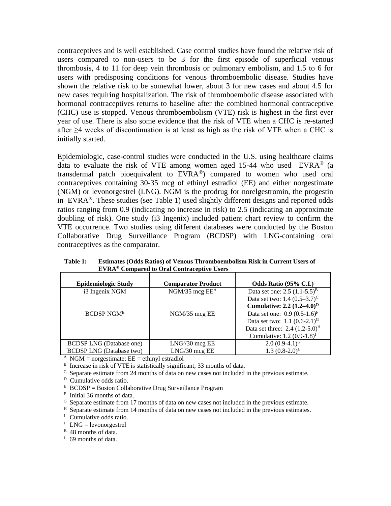contraceptives and is well established. Case control studies have found the relative risk of users compared to non-users to be 3 for the first episode of superficial venous thrombosis, 4 to 11 for deep vein thrombosis or pulmonary embolism, and 1.5 to 6 for users with predisposing conditions for venous thromboembolic disease. Studies have shown the relative risk to be somewhat lower, about 3 for new cases and about 4.5 for new cases requiring hospitalization. The risk of thromboembolic disease associated with hormonal contraceptives returns to baseline after the combined hormonal contraceptive (CHC) use is stopped. Venous thromboembolism (VTE) risk is highest in the first ever year of use. There is also some evidence that the risk of VTE when a CHC is re-started after  $\geq$ 4 weeks of discontinuation is at least as high as the risk of VTE when a CHC is initially started.

Epidemiologic, case-control studies were conducted in the U.S. using healthcare claims data to evaluate the risk of VTE among women aged 15-44 who used  $EVRA^{\circledast}$  (a transdermal patch bioequivalent to  $EVARA^{\circledast}$  compared to women who used oral contraceptives containing 30-35 mcg of ethinyl estradiol (EE) and either norgestimate (NGM) or levonorgestrel (LNG). NGM is the prodrug for norelgestromin, the progestin in EVRA<sup>®</sup>. These studies (see Table 1) used slightly different designs and reported odds ratios ranging from 0.9 (indicating no increase in risk) to 2.5 (indicating an approximate doubling of risk). One study (i3 Ingenix) included patient chart review to confirm the VTE occurrence. Two studies using different databases were conducted by the Boston Collaborative Drug Surveillance Program (BCDSP) with LNG-containing oral contraceptives as the comparator.

**Table 1: Estimates (Odds Ratios) of Venous Thromboembolism Risk in Current Users of EVRA® Compared to Oral Contraceptive Users**

| <b>Epidemiologic Study</b>      | <b>Comparator Product</b> | Odds Ratio (95% C.I.)               |
|---------------------------------|---------------------------|-------------------------------------|
| i3 Ingenix NGM                  | $NGM/35$ mcg $EE^A$       | Data set one: $2.5 (1.1-5.5)^{B}$   |
|                                 |                           | Data set two: 1.4 $(0.5-3.7)^C$     |
|                                 |                           | Cumulative: 2.2 $(1.2-4.0)^D$       |
| <b>BCDSP NGME</b>               | $NGM/35$ mcg EE           | Data set one: $0.9 (0.5-1.6)^F$     |
|                                 |                           | Data set two: $1.1 (0.6-2.1)^{G}$   |
|                                 |                           | Data set three: $2.4 (1.2-5.0)^{H}$ |
|                                 |                           | Cumulative: $1.2 (0.9-1.8)^T$       |
| <b>BCDSP LNG</b> (Database one) | $LNGJ/30$ mcg EE          | $2.0(0.9-4.1)^{K}$                  |
| <b>BCDSP LNG</b> (Database two) | LNG/30 mcg EE             | $1.3(0.8-2.0)^{L}$                  |

 $^{\text{A}}$  NGM = norgestimate; EE = ethinyl estradiol

<sup>B</sup> Increase in risk of VTE is statistically significant; 33 months of data.

 $\rm{c}$  Separate estimate from 24 months of data on new cases not included in the previous estimate.

<sup>D</sup> Cumulative odds ratio.

 $E$  BCDSP = Boston Collaborative Drug Surveillance Program

F Initial 36 months of data.

<sup>G</sup> Separate estimate from 17 months of data on new cases not included in the previous estimate.

<sup>H</sup> Separate estimate from 14 months of data on new cases not included in the previous estimates.

<sup>I</sup> Cumulative odds ratio.

 $J$  LNG = levonorgestrel

 $K$  48 months of data.

<sup>L</sup> 69 months of data.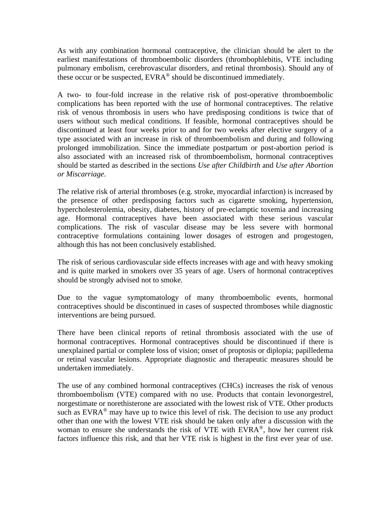As with any combination hormonal contraceptive, the clinician should be alert to the earliest manifestations of thromboembolic disorders (thrombophlebitis, VTE including pulmonary embolism, cerebrovascular disorders, and retinal thrombosis). Should any of these occur or be suspected,  $EVRA^{\circledast}$  should be discontinued immediately.

A two- to four-fold increase in the relative risk of post-operative thromboembolic complications has been reported with the use of hormonal contraceptives. The relative risk of venous thrombosis in users who have predisposing conditions is twice that of users without such medical conditions. If feasible, hormonal contraceptives should be discontinued at least four weeks prior to and for two weeks after elective surgery of a type associated with an increase in risk of thromboembolism and during and following prolonged immobilization. Since the immediate postpartum or post-abortion period is also associated with an increased risk of thromboembolism, hormonal contraceptives should be started as described in the sections *Use after Childbirth* and *Use after Abortion or Miscarriage*.

The relative risk of arterial thromboses (e.g. stroke, myocardial infarction) is increased by the presence of other predisposing factors such as cigarette smoking, hypertension, hypercholesterolemia, obesity, diabetes, history of pre-eclamptic toxemia and increasing age. Hormonal contraceptives have been associated with these serious vascular complications. The risk of vascular disease may be less severe with hormonal contraceptive formulations containing lower dosages of estrogen and progestogen, although this has not been conclusively established.

The risk of serious cardiovascular side effects increases with age and with heavy smoking and is quite marked in smokers over 35 years of age. Users of hormonal contraceptives should be strongly advised not to smoke.

Due to the vague symptomatology of many thromboembolic events, hormonal contraceptives should be discontinued in cases of suspected thromboses while diagnostic interventions are being pursued.

There have been clinical reports of retinal thrombosis associated with the use of hormonal contraceptives. Hormonal contraceptives should be discontinued if there is unexplained partial or complete loss of vision; onset of proptosis or diplopia; papilledema or retinal vascular lesions. Appropriate diagnostic and therapeutic measures should be undertaken immediately.

The use of any combined hormonal contraceptives (CHCs) increases the risk of venous thromboembolism (VTE) compared with no use. Products that contain levonorgestrel, norgestimate or norethisterone are associated with the lowest risk of VTE. Other products such as  $EVRA^{\circledast}$  may have up to twice this level of risk. The decision to use any product other than one with the lowest VTE risk should be taken only after a discussion with the woman to ensure she understands the risk of VTE with  $EVARA^{\circledast}$ , how her current risk factors influence this risk, and that her VTE risk is highest in the first ever year of use.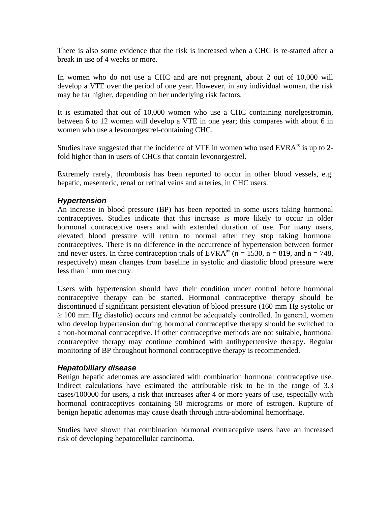There is also some evidence that the risk is increased when a CHC is re-started after a break in use of 4 weeks or more.

In women who do not use a CHC and are not pregnant, about 2 out of 10,000 will develop a VTE over the period of one year. However, in any individual woman, the risk may be far higher, depending on her underlying risk factors.

It is estimated that out of 10,000 women who use a CHC containing norelgestromin, between 6 to 12 women will develop a VTE in one year; this compares with about 6 in women who use a levonorgestrel-containing CHC.

Studies have suggested that the incidence of VTE in women who used  $EVRA^{\otimes}$  is up to 2fold higher than in users of CHCs that contain levonorgestrel.

Extremely rarely, thrombosis has been reported to occur in other blood vessels, e.g. hepatic, mesenteric, renal or retinal veins and arteries, in CHC users.

### *Hypertension*

An increase in blood pressure (BP) has been reported in some users taking hormonal contraceptives. Studies indicate that this increase is more likely to occur in older hormonal contraceptive users and with extended duration of use. For many users, elevated blood pressure will return to normal after they stop taking hormonal contraceptives. There is no difference in the occurrence of hypertension between former and never users. In three contraception trials of EVRA<sup>®</sup> (n = 1530, n = 819, and n = 748, respectively) mean changes from baseline in systolic and diastolic blood pressure were less than 1 mm mercury.

Users with hypertension should have their condition under control before hormonal contraceptive therapy can be started. Hormonal contraceptive therapy should be discontinued if significant persistent elevation of blood pressure (160 mm Hg systolic or  $\geq$  100 mm Hg diastolic) occurs and cannot be adequately controlled. In general, women who develop hypertension during hormonal contraceptive therapy should be switched to a non-hormonal contraceptive. If other contraceptive methods are not suitable, hormonal contraceptive therapy may continue combined with antihypertensive therapy. Regular monitoring of BP throughout hormonal contraceptive therapy is recommended.

#### *Hepatobiliary disease*

Benign hepatic adenomas are associated with combination hormonal contraceptive use. Indirect calculations have estimated the attributable risk to be in the range of 3.3 cases/100000 for users, a risk that increases after 4 or more years of use, especially with hormonal contraceptives containing 50 micrograms or more of estrogen. Rupture of benign hepatic adenomas may cause death through intra-abdominal hemorrhage.

Studies have shown that combination hormonal contraceptive users have an increased risk of developing hepatocellular carcinoma.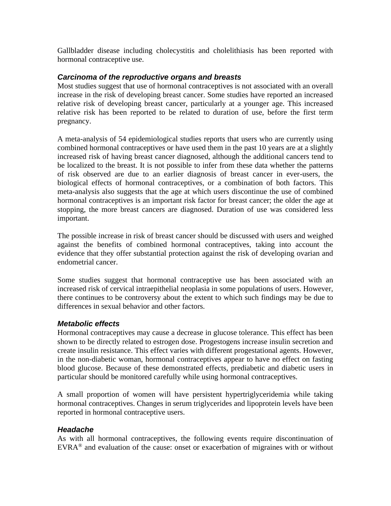Gallbladder disease including cholecystitis and cholelithiasis has been reported with hormonal contraceptive use.

### *Carcinoma of the reproductive organs and breasts*

Most studies suggest that use of hormonal contraceptives is not associated with an overall increase in the risk of developing breast cancer. Some studies have reported an increased relative risk of developing breast cancer, particularly at a younger age. This increased relative risk has been reported to be related to duration of use, before the first term pregnancy.

A meta-analysis of 54 epidemiological studies reports that users who are currently using combined hormonal contraceptives or have used them in the past 10 years are at a slightly increased risk of having breast cancer diagnosed, although the additional cancers tend to be localized to the breast. It is not possible to infer from these data whether the patterns of risk observed are due to an earlier diagnosis of breast cancer in ever-users, the biological effects of hormonal contraceptives, or a combination of both factors. This meta-analysis also suggests that the age at which users discontinue the use of combined hormonal contraceptives is an important risk factor for breast cancer; the older the age at stopping, the more breast cancers are diagnosed. Duration of use was considered less important.

The possible increase in risk of breast cancer should be discussed with users and weighed against the benefits of combined hormonal contraceptives, taking into account the evidence that they offer substantial protection against the risk of developing ovarian and endometrial cancer.

Some studies suggest that hormonal contraceptive use has been associated with an increased risk of cervical intraepithelial neoplasia in some populations of users. However, there continues to be controversy about the extent to which such findings may be due to differences in sexual behavior and other factors.

### *Metabolic effects*

Hormonal contraceptives may cause a decrease in glucose tolerance. This effect has been shown to be directly related to estrogen dose. Progestogens increase insulin secretion and create insulin resistance. This effect varies with different progestational agents. However, in the non-diabetic woman, hormonal contraceptives appear to have no effect on fasting blood glucose. Because of these demonstrated effects, prediabetic and diabetic users in particular should be monitored carefully while using hormonal contraceptives.

A small proportion of women will have persistent hypertriglyceridemia while taking hormonal contraceptives. Changes in serum triglycerides and lipoprotein levels have been reported in hormonal contraceptive users.

### *Headache*

As with all hormonal contraceptives, the following events require discontinuation of  $EVRA^{\circledast}$  and evaluation of the cause: onset or exacerbation of migraines with or without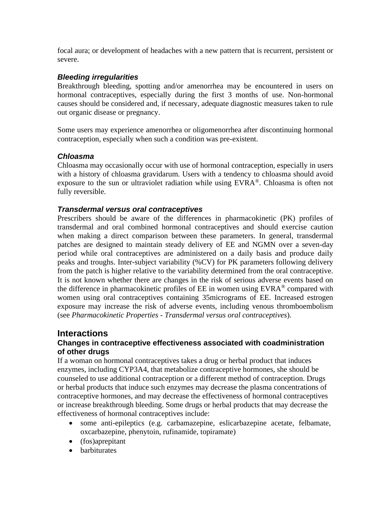focal aura; or development of headaches with a new pattern that is recurrent, persistent or severe.

### *Bleeding irregularities*

Breakthrough bleeding, spotting and/or amenorrhea may be encountered in users on hormonal contraceptives, especially during the first 3 months of use. Non-hormonal causes should be considered and, if necessary, adequate diagnostic measures taken to rule out organic disease or pregnancy.

Some users may experience amenorrhea or oligomenorrhea after discontinuing hormonal contraception, especially when such a condition was pre-existent.

### *Chloasma*

Chloasma may occasionally occur with use of hormonal contraception, especially in users with a history of chloasma gravidarum. Users with a tendency to chloasma should avoid exposure to the sun or ultraviolet radiation while using EVRA®. Chloasma is often not fully reversible.

### *Transdermal versus oral contraceptives*

Prescribers should be aware of the differences in pharmacokinetic (PK) profiles of transdermal and oral combined hormonal contraceptives and should exercise caution when making a direct comparison between these parameters. In general, transdermal patches are designed to maintain steady delivery of EE and NGMN over a seven-day period while oral contraceptives are administered on a daily basis and produce daily peaks and troughs. Inter-subject variability (%CV) for PK parameters following delivery from the patch is higher relative to the variability determined from the oral contraceptive. It is not known whether there are changes in the risk of serious adverse events based on the difference in pharmacokinetic profiles of EE in women using EVRA® compared with women using oral contraceptives containing 35micrograms of EE. Increased estrogen exposure may increase the risk of adverse events, including venous thromboembolism (see *Pharmacokinetic Properties - Transdermal versus oral contraceptives*).

## **Interactions**

### **Changes in contraceptive effectiveness associated with coadministration of other drugs**

If a woman on hormonal contraceptives takes a drug or herbal product that induces enzymes, including CYP3A4, that metabolize contraceptive hormones, she should be counseled to use additional contraception or a different method of contraception. Drugs or herbal products that induce such enzymes may decrease the plasma concentrations of contraceptive hormones, and may decrease the effectiveness of hormonal contraceptives or increase breakthrough bleeding. Some drugs or herbal products that may decrease the effectiveness of hormonal contraceptives include:

- some anti-epileptics (e.g. carbamazepine, eslicarbazepine acetate, felbamate, oxcarbazepine, phenytoin, rufinamide, topiramate)
- (fos)aprepitant
- barbiturates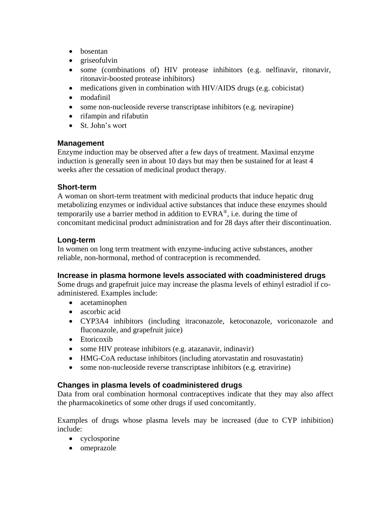- bosentan
- griseofulvin
- some (combinations of) HIV protease inhibitors (e.g. nelfinavir, ritonavir, ritonavir-boosted protease inhibitors)
- medications given in combination with HIV/AIDS drugs (e.g. cobicistat)
- modafinil
- some non-nucleoside reverse transcriptase inhibitors (e.g. nevirapine)
- rifampin and rifabutin
- St. John's wort

### **Management**

Enzyme induction may be observed after a few days of treatment. Maximal enzyme induction is generally seen in about 10 days but may then be sustained for at least 4 weeks after the cessation of medicinal product therapy.

### **Short-term**

A woman on short-term treatment with medicinal products that induce hepatic drug metabolizing enzymes or individual active substances that induce these enzymes should temporarily use a barrier method in addition to  $EVRA^{\circledast}$ , i.e. during the time of concomitant medicinal product administration and for 28 days after their discontinuation.

### **Long-term**

In women on long term treatment with enzyme-inducing active substances, another reliable, non-hormonal, method of contraception is recommended.

### **Increase in plasma hormone levels associated with coadministered drugs**

Some drugs and grapefruit juice may increase the plasma levels of ethinyl estradiol if coadministered. Examples include:

- acetaminophen
- ascorbic acid
- CYP3A4 inhibitors (including itraconazole, ketoconazole, voriconazole and fluconazole, and grapefruit juice)
- Etoricoxib
- some HIV protease inhibitors (e.g. atazanavir, indinavir)
- HMG-CoA reductase inhibitors (including atorvastatin and rosuvastatin)
- some non-nucleoside reverse transcriptase inhibitors (e.g. etravirine)

### **Changes in plasma levels of coadministered drugs**

Data from oral combination hormonal contraceptives indicate that they may also affect the pharmacokinetics of some other drugs if used concomitantly.

Examples of drugs whose plasma levels may be increased (due to CYP inhibition) include:

- cyclosporine
- omeprazole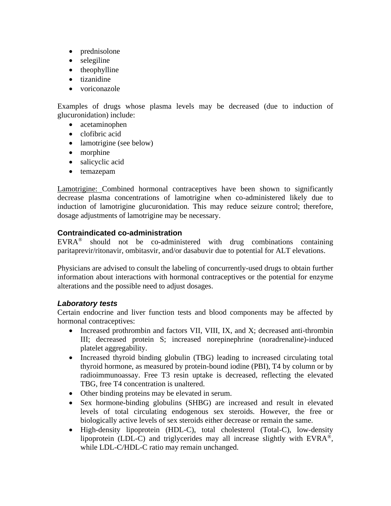- prednisolone
- selegiline
- theophylline
- tizanidine
- voriconazole

Examples of drugs whose plasma levels may be decreased (due to induction of glucuronidation) include:

- acetaminophen
- clofibric acid
- lamotrigine (see below)
- morphine
- salicyclic acid
- temazepam

Lamotrigine: Combined hormonal contraceptives have been shown to significantly decrease plasma concentrations of lamotrigine when co-administered likely due to induction of lamotrigine glucuronidation. This may reduce seizure control; therefore, dosage adjustments of lamotrigine may be necessary.

#### **Contraindicated co-administration**

EVRA® should not be co-administered with drug combinations containing paritaprevir/ritonavir, ombitasvir, and/or dasabuvir due to potential for ALT elevations.

Physicians are advised to consult the labeling of concurrently-used drugs to obtain further information about interactions with hormonal contraceptives or the potential for enzyme alterations and the possible need to adjust dosages.

### *Laboratory tests*

Certain endocrine and liver function tests and blood components may be affected by hormonal contraceptives:

- Increased prothrombin and factors VII, VIII, IX, and X; decreased anti-thrombin III; decreased protein S; increased norepinephrine (noradrenaline)-induced platelet aggregability.
- Increased thyroid binding globulin (TBG) leading to increased circulating total thyroid hormone, as measured by protein-bound iodine (PBI), T4 by column or by radioimmunoassay. Free T3 resin uptake is decreased, reflecting the elevated TBG, free T4 concentration is unaltered.
- Other binding proteins may be elevated in serum.
- Sex hormone-binding globulins (SHBG) are increased and result in elevated levels of total circulating endogenous sex steroids. However, the free or biologically active levels of sex steroids either decrease or remain the same.
- High-density lipoprotein (HDL-C), total cholesterol (Total-C), low-density lipoprotein (LDL-C) and triglycerides may all increase slightly with  $EVRA^{\circledcirc}$ , while LDL-C/HDL-C ratio may remain unchanged.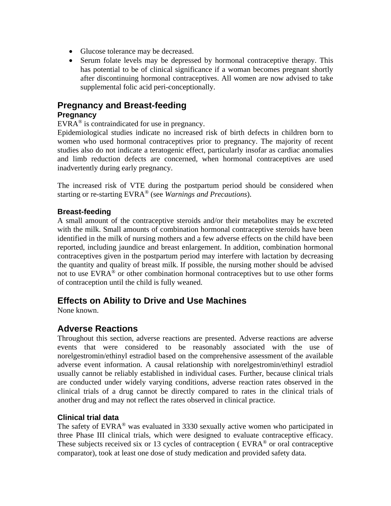- Glucose tolerance may be decreased.
- Serum folate levels may be depressed by hormonal contraceptive therapy. This has potential to be of clinical significance if a woman becomes pregnant shortly after discontinuing hormonal contraceptives. All women are now advised to take supplemental folic acid peri-conceptionally.

### **Pregnancy and Breast-feeding**

### **Pregnancy**

 $EVARA^{\circledR}$  is contraindicated for use in pregnancy.

Epidemiological studies indicate no increased risk of birth defects in children born to women who used hormonal contraceptives prior to pregnancy. The majority of recent studies also do not indicate a teratogenic effect, particularly insofar as cardiac anomalies and limb reduction defects are concerned, when hormonal contraceptives are used inadvertently during early pregnancy.

The increased risk of VTE during the postpartum period should be considered when starting or re-starting EVRA® (see *Warnings and Precautions*).

#### **Breast-feeding**

A small amount of the contraceptive steroids and/or their metabolites may be excreted with the milk. Small amounts of combination hormonal contraceptive steroids have been identified in the milk of nursing mothers and a few adverse effects on the child have been reported, including jaundice and breast enlargement. In addition, combination hormonal contraceptives given in the postpartum period may interfere with lactation by decreasing the quantity and quality of breast milk. If possible, the nursing mother should be advised not to use EVRA® or other combination hormonal contraceptives but to use other forms of contraception until the child is fully weaned.

## **Effects on Ability to Drive and Use Machines**

None known.

## **Adverse Reactions**

Throughout this section, adverse reactions are presented. Adverse reactions are adverse events that were considered to be reasonably associated with the use of norelgestromin/ethinyl estradiol based on the comprehensive assessment of the available adverse event information. A causal relationship with norelgestromin/ethinyl estradiol usually cannot be reliably established in individual cases. Further, because clinical trials are conducted under widely varying conditions, adverse reaction rates observed in the clinical trials of a drug cannot be directly compared to rates in the clinical trials of another drug and may not reflect the rates observed in clinical practice.

### **Clinical trial data**

The safety of  $EVRA^{\circledast}$  was evaluated in 3330 sexually active women who participated in three Phase III clinical trials, which were designed to evaluate contraceptive efficacy. These subjects received six or 13 cycles of contraception ( $EVRA^{\circ}$ ) or oral contraceptive comparator), took at least one dose of study medication and provided safety data.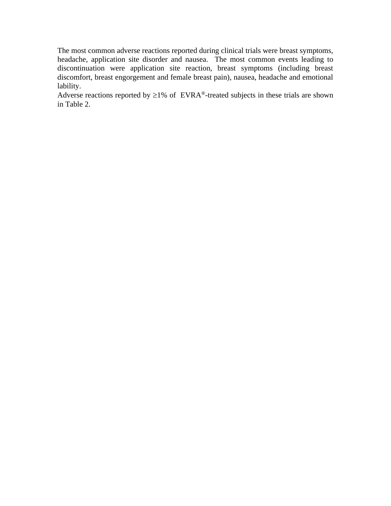The most common adverse reactions reported during clinical trials were breast symptoms, headache, application site disorder and nausea. The most common events leading to discontinuation were application site reaction, breast symptoms (including breast discomfort, breast engorgement and female breast pain), nausea, headache and emotional lability.

Adverse reactions reported by  $\geq$ 1% of EVRA<sup>®</sup>-treated subjects in these trials are shown in Table 2.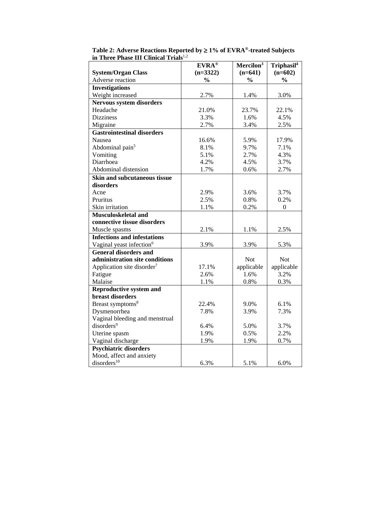|                                        | <b>EVRA®</b>  | Mercilon <sup>3</sup> | Triphasil <sup>4</sup> |
|----------------------------------------|---------------|-----------------------|------------------------|
| <b>System/Organ Class</b>              | $(n=3322)$    | $(n=641)$             | $(n=602)$              |
| Adverse reaction                       | $\frac{0}{0}$ | $\frac{0}{0}$         | $\frac{0}{0}$          |
| <b>Investigations</b>                  |               |                       |                        |
| Weight increased                       | 2.7%          | 1.4%                  | 3.0%                   |
| <b>Nervous system disorders</b>        |               |                       |                        |
| Headache                               | 21.0%         | 23.7%                 | 22.1%                  |
| <b>Dizziness</b>                       | 3.3%          | 1.6%                  | 4.5%                   |
| Migraine                               | 2.7%          | 3.4%                  | 2.5%                   |
| <b>Gastrointestinal disorders</b>      |               |                       |                        |
| Nausea                                 | 16.6%         | 5.9%                  | 17.9%                  |
| Abdominal pain <sup>5</sup>            | 8.1%          | 9.7%                  | 7.1%                   |
| Vomiting                               | 5.1%          | 2.7%                  | 4.3%                   |
| Diarrhoea                              | 4.2%          | 4.5%                  | 3.7%                   |
| Abdominal distension                   | 1.7%          | 0.6%                  | 2.7%                   |
| <b>Skin and subcutaneous tissue</b>    |               |                       |                        |
| disorders                              |               |                       |                        |
| Acne                                   | 2.9%          | 3.6%                  | 3.7%                   |
| Pruritus                               | 2.5%          | 0.8%                  | 0.2%                   |
| Skin irritation                        | 1.1%          | 0.2%                  | $\boldsymbol{0}$       |
| Musculoskeletal and                    |               |                       |                        |
| connective tissue disorders            |               |                       |                        |
| Muscle spasms                          | 2.1%          | 1.1%                  | 2.5%                   |
| <b>Infections and infestations</b>     |               |                       |                        |
| Vaginal yeast infection <sup>6</sup>   | 3.9%          | 3.9%                  | 5.3%                   |
| <b>General disorders and</b>           |               |                       |                        |
| administration site conditions         |               | Not                   | Not                    |
| Application site disorder <sup>7</sup> | 17.1%         | applicable            | applicable             |
| Fatigue                                | 2.6%          | 1.6%                  | 3.2%                   |
| Malaise                                | 1.1%          | 0.8%                  | 0.3%                   |
| <b>Reproductive system and</b>         |               |                       |                        |
| breast disorders                       |               |                       |                        |
| Breast symptoms <sup>8</sup>           | 22.4%         | 9.0%                  | 6.1%                   |
| Dysmenorrhea                           | 7.8%          | 3.9%                  | 7.3%                   |
| Vaginal bleeding and menstrual         |               |                       |                        |
| disorders <sup>9</sup>                 | 6.4%          | 5.0%                  | 3.7%                   |
| Uterine spasm                          | 1.9%          | 0.5%                  | 2.2%                   |
| Vaginal discharge                      | 1.9%          | 1.9%                  | 0.7%                   |
| <b>Psychiatric disorders</b>           |               |                       |                        |
| Mood, affect and anxiety               |               |                       |                        |
| disorders <sup>10</sup>                | 6.3%          | 5.1%                  | 6.0%                   |

Table 2: Adverse Reactions Reported by  $\geq 1\%$  of EVRA<sup>®</sup>-treated Subjects **in Three Phase III Clinical Trials**1,2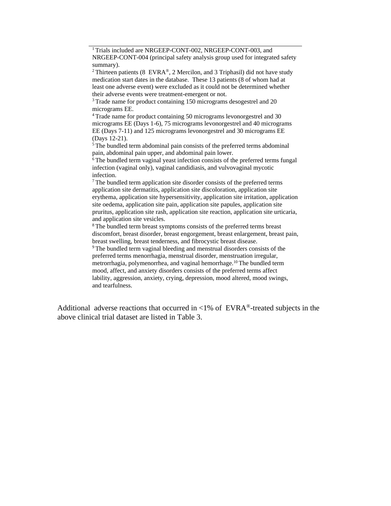<sup>1</sup>Trials included are NRGEEP-CONT-002, NRGEEP-CONT-003, and NRGEEP-CONT-004 (principal safety analysis group used for integrated safety summary).

<sup>2</sup> Thirteen patients (8 EVRA®, 2 Mercilon, and 3 Triphasil) did not have study medication start dates in the database. These 13 patients (8 of whom had at least one adverse event) were excluded as it could not be determined whether their adverse events were treatment-emergent or not.

<sup>3</sup> Trade name for product containing 150 micrograms desogestrel and 20 micrograms EE.

<sup>4</sup>Trade name for product containing 50 micrograms levonorgestrel and 30 micrograms EE (Days 1-6), 75 micrograms levonorgestrel and 40 micrograms EE (Days 7-11) and 125 micrograms levonorgestrel and 30 micrograms EE (Days 12-21).

<sup>5</sup>The bundled term abdominal pain consists of the preferred terms abdominal pain, abdominal pain upper, and abdominal pain lower.

<sup>6</sup>The bundled term vaginal yeast infection consists of the preferred terms fungal infection (vaginal only), vaginal candidiasis, and vulvovaginal mycotic infection.

<sup>7</sup>The bundled term application site disorder consists of the preferred terms application site dermatitis, application site discoloration, application site erythema, application site hypersensitivity, application site irritation, application site oedema, application site pain, application site papules, application site pruritus, application site rash, application site reaction, application site urticaria, and application site vesicles.

<sup>8</sup>The bundled term breast symptoms consists of the preferred terms breast discomfort, breast disorder, breast engorgement, breast enlargement, breast pain, breast swelling, breast tenderness, and fibrocystic breast disease.

<sup>9</sup>The bundled term vaginal bleeding and menstrual disorders consists of the preferred terms menorrhagia, menstrual disorder, menstruation irregular, metrorrhagia, polymenorrhea, and vaginal hemorrhage.<sup>10</sup>The bundled term mood, affect, and anxiety disorders consists of the preferred terms affect lability, aggression, anxiety, crying, depression, mood altered, mood swings, and tearfulness.

Additional adverse reactions that occurred in  $\langle 1\% \rangle$  of EVRA<sup>®</sup>-treated subjects in the above clinical trial dataset are listed in Table 3.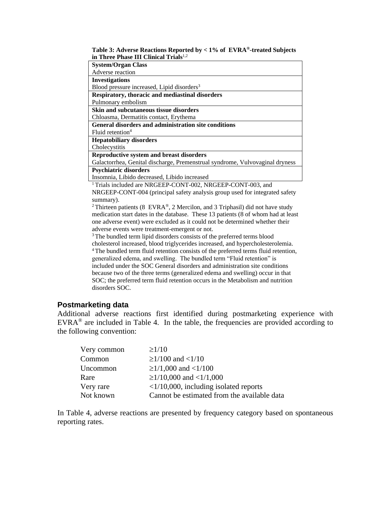#### **Table 3: Adverse Reactions Reported by < 1% of EVRA®-treated Subjects in Three Phase III Clinical Trials**1,2

| <b>System/Organ Class</b>                                                                                                                                                                                                                                                                                             |
|-----------------------------------------------------------------------------------------------------------------------------------------------------------------------------------------------------------------------------------------------------------------------------------------------------------------------|
| Adverse reaction                                                                                                                                                                                                                                                                                                      |
| <b>Investigations</b>                                                                                                                                                                                                                                                                                                 |
| Blood pressure increased, Lipid disorders <sup>3</sup>                                                                                                                                                                                                                                                                |
| Respiratory, thoracic and mediastinal disorders                                                                                                                                                                                                                                                                       |
| Pulmonary embolism                                                                                                                                                                                                                                                                                                    |
| <b>Skin and subcutaneous tissue disorders</b>                                                                                                                                                                                                                                                                         |
| Chloasma, Dermatitis contact, Erythema                                                                                                                                                                                                                                                                                |
| General disorders and administration site conditions                                                                                                                                                                                                                                                                  |
| Fluid retention $4$                                                                                                                                                                                                                                                                                                   |
| <b>Hepatobiliary disorders</b>                                                                                                                                                                                                                                                                                        |
| Cholecystitis                                                                                                                                                                                                                                                                                                         |
| Reproductive system and breast disorders                                                                                                                                                                                                                                                                              |
| Galactorrhea, Genital discharge, Premenstrual syndrome, Vulvovaginal dryness                                                                                                                                                                                                                                          |
| <b>Psychiatric disorders</b>                                                                                                                                                                                                                                                                                          |
| Insomnia, Libido decreased, Libido increased                                                                                                                                                                                                                                                                          |
| $\mathbb{R}^{n+1}$ $\mathbb{R}^{n+1}$ $\mathbb{R}^{n}$ $\mathbb{R}^{n}$ $\mathbb{R}^{n}$ $\mathbb{R}^{n}$ $\mathbb{R}^{n}$ $\mathbb{R}^{n}$ $\mathbb{R}^{n}$ $\mathbb{R}^{n}$ $\mathbb{R}^{n}$ $\mathbb{R}^{n}$ $\mathbb{R}^{n}$ $\mathbb{R}^{n}$ $\mathbb{R}^{n}$ $\mathbb{R}^{n}$ $\mathbb{R}^{n}$ $\mathbb{R}^{n}$ |

<sup>1</sup> Trials included are NRGEEP-CONT-002, NRGEEP-CONT-003, and NRGEEP-CONT-004 (principal safety analysis group used for integrated safety summary).

<sup>2</sup> Thirteen patients (8 EVRA®, 2 Mercilon, and 3 Triphasil) did not have study medication start dates in the database. These 13 patients (8 of whom had at least one adverse event) were excluded as it could not be determined whether their adverse events were treatment-emergent or not.

<sup>3</sup>The bundled term lipid disorders consists of the preferred terms blood cholesterol increased, blood triglycerides increased, and hypercholesterolemia. <sup>4</sup>The bundled term fluid retention consists of the preferred terms fluid retention, generalized edema, and swelling. The bundled term "Fluid retention" is included under the SOC General disorders and administration site conditions because two of the three terms (generalized edema and swelling) occur in that SOC; the preferred term fluid retention occurs in the Metabolism and nutrition disorders SOC.

#### **Postmarketing data**

Additional adverse reactions first identified during postmarketing experience with  $EVRA^{\circledast}$  are included in Table 4. In the table, the frequencies are provided according to the following convention:

| Very common | $\geq$ 1/10                                    |
|-------------|------------------------------------------------|
| Common      | $\geq$ 1/100 and <1/10                         |
| Uncommon    | $\geq$ 1/1,000 and <1/100                      |
| Rare        | $\geq$ 1/10,000 and <1/1,000                   |
| Very rare   | $\langle 1/10,000,$ including isolated reports |
| Not known   | Cannot be estimated from the available data    |

In Table 4, adverse reactions are presented by frequency category based on spontaneous reporting rates.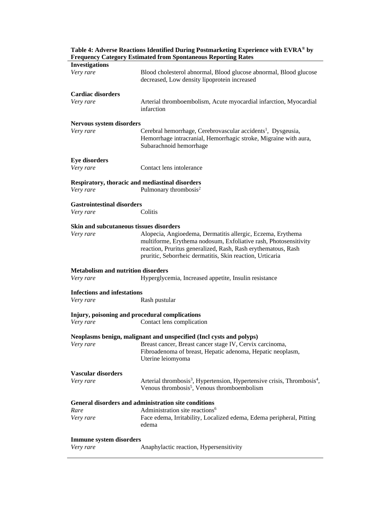| <b>Investigations</b>                           |                                                                                                 |
|-------------------------------------------------|-------------------------------------------------------------------------------------------------|
|                                                 |                                                                                                 |
| Very rare                                       | Blood cholesterol abnormal, Blood glucose abnormal, Blood glucose                               |
|                                                 | decreased, Low density lipoprotein increased                                                    |
|                                                 |                                                                                                 |
| <b>Cardiac disorders</b>                        |                                                                                                 |
| Very rare                                       | Arterial thromboembolism, Acute myocardial infarction, Myocardial                               |
|                                                 | infarction                                                                                      |
|                                                 |                                                                                                 |
| Nervous system disorders                        |                                                                                                 |
| Very rare                                       | Cerebral hemorrhage, Cerebrovascular accidents <sup>1</sup> , Dysgeusia,                        |
|                                                 | Hemorrhage intracranial, Hemorrhagic stroke, Migraine with aura,                                |
|                                                 | Subarachnoid hemorrhage                                                                         |
|                                                 |                                                                                                 |
| <b>Eye disorders</b>                            |                                                                                                 |
| Very rare                                       | Contact lens intolerance                                                                        |
|                                                 |                                                                                                 |
| Respiratory, thoracic and mediastinal disorders |                                                                                                 |
| Very rare                                       | Pulmonary thrombosis <sup>2</sup>                                                               |
|                                                 |                                                                                                 |
| <b>Gastrointestinal disorders</b>               |                                                                                                 |
| Very rare                                       | Colitis                                                                                         |
|                                                 |                                                                                                 |
| <b>Skin and subcutaneous tissues disorders</b>  |                                                                                                 |
| Very rare                                       | Alopecia, Angioedema, Dermatitis allergic, Eczema, Erythema                                     |
|                                                 | multiforme, Erythema nodosum, Exfoliative rash, Photosensitivity                                |
|                                                 |                                                                                                 |
|                                                 | reaction, Pruritus generalized, Rash, Rash erythematous, Rash                                   |
|                                                 | pruritic, Seborrheic dermatitis, Skin reaction, Urticaria                                       |
|                                                 |                                                                                                 |
|                                                 |                                                                                                 |
| <b>Metabolism and nutrition disorders</b>       |                                                                                                 |
| Very rare                                       | Hyperglycemia, Increased appetite, Insulin resistance                                           |
|                                                 |                                                                                                 |
| <b>Infections and infestations</b>              |                                                                                                 |
| Very rare                                       | Rash pustular                                                                                   |
|                                                 |                                                                                                 |
| Injury, poisoning and procedural complications  |                                                                                                 |
| Very rare                                       | Contact lens complication                                                                       |
|                                                 |                                                                                                 |
|                                                 | Neoplasms benign, malignant and unspecified (Incl cysts and polyps)                             |
|                                                 | Very rare<br>Breast cancer, Breast cancer stage IV, Cervix carcinoma,                           |
|                                                 | Fibroadenoma of breast, Hepatic adenoma, Hepatic neoplasm,                                      |
|                                                 | Uterine leiomyoma                                                                               |
|                                                 |                                                                                                 |
| <b>Vascular disorders</b>                       |                                                                                                 |
| Very rare                                       | Arterial thrombosis <sup>3</sup> , Hypertension, Hypertensive crisis, Thrombosis <sup>4</sup> , |
|                                                 | Venous thrombosis <sup>5</sup> , Venous thromboembolism                                         |
|                                                 |                                                                                                 |
|                                                 | General disorders and administration site conditions                                            |
| Rare                                            | Administration site reactions <sup>6</sup>                                                      |
| Very rare                                       | Face edema, Irritability, Localized edema, Edema peripheral, Pitting                            |
|                                                 | edema                                                                                           |
|                                                 |                                                                                                 |
| <b>Immune system disorders</b>                  |                                                                                                 |

**Table 4: Adverse Reactions Identified During Postmarketing Experience with EVRA® by Frequency Category Estimated from Spontaneous Reporting Rates**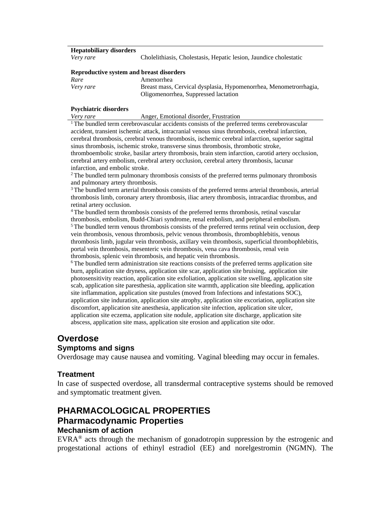#### **Hepatobiliary disorders**

*Very rare* Cholelithiasis, Cholestasis, Hepatic lesion, Jaundice cholestatic

#### **Reproductive system and breast disorders**

| Rare      | Amenorrhea                                                        |
|-----------|-------------------------------------------------------------------|
| Very rare | Breast mass, Cervical dysplasia, Hypomenorrhea, Menometrorrhagia, |
|           | Oligomenorrhea, Suppressed lactation                              |

#### **Psychiatric disorders**

*Very rare* **Anger**, Emotional disorder, Frustration

<sup>1</sup>The bundled term cerebrovascular accidents consists of the preferred terms cerebrovascular accident, transient ischemic attack, intracranial venous sinus thrombosis, cerebral infarction, cerebral thrombosis, cerebral venous thrombosis, ischemic cerebral infarction, superior sagittal sinus thrombosis, ischemic stroke, transverse sinus thrombosis, thrombotic stroke, thromboembolic stroke, basilar artery thrombosis, brain stem infarction, carotid artery occlusion, cerebral artery embolism, cerebral artery occlusion, cerebral artery thrombosis, lacunar infarction, and embolic stroke.

<sup>2</sup>The bundled term pulmonary thrombosis consists of the preferred terms pulmonary thrombosis and pulmonary artery thrombosis.

<sup>3</sup>The bundled term arterial thrombosis consists of the preferred terms arterial thrombosis, arterial thrombosis limb, coronary artery thrombosis, iliac artery thrombosis, intracardiac thrombus, and retinal artery occlusion.

<sup>4</sup>The bundled term thrombosis consists of the preferred terms thrombosis, retinal vascular thrombosis, embolism, Budd-Chiari syndrome, renal embolism, and peripheral embolism.  $5$ The bundled term venous thrombosis consists of the preferred terms retinal vein occlusion, deep vein thrombosis, venous thrombosis, pelvic venous thrombosis, thrombophlebitis, venous thrombosis limb, jugular vein thrombosis, axillary vein thrombosis, superficial thrombophlebitis, portal vein thrombosis, mesenteric vein thrombosis, vena cava thrombosis, renal vein thrombosis, splenic vein thrombosis, and hepatic vein thrombosis.

 $6$ The bundled term administration site reactions consists of the preferred terms application site burn, application site dryness, application site scar, application site bruising, application site photosensitivity reaction, application site exfoliation, application site swelling, application site scab, application site paresthesia, application site warmth, application site bleeding, application site inflammation, application site pustules (moved from Infections and infestations SOC), application site induration, application site atrophy, application site excoriation, application site discomfort, application site anesthesia, application site infection, application site ulcer, application site eczema, application site nodule, application site discharge, application site abscess, application site mass, application site erosion and application site odor.

### **Overdose**

#### **Symptoms and signs**

Overdosage may cause nausea and vomiting. Vaginal bleeding may occur in females.

#### **Treatment**

In case of suspected overdose, all transdermal contraceptive systems should be removed and symptomatic treatment given.

## **PHARMACOLOGICAL PROPERTIES Pharmacodynamic Properties Mechanism of action**

EVRA® acts through the mechanism of gonadotropin suppression by the estrogenic and progestational actions of ethinyl estradiol (EE) and norelgestromin (NGMN). The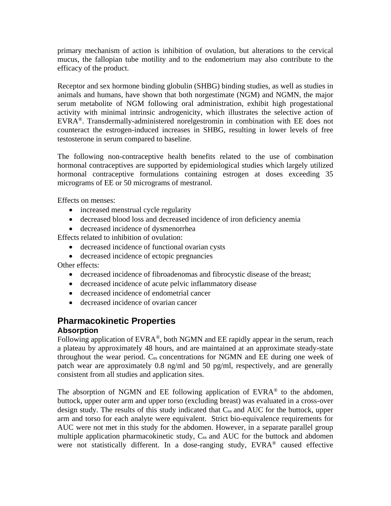primary mechanism of action is inhibition of ovulation, but alterations to the cervical mucus, the fallopian tube motility and to the endometrium may also contribute to the efficacy of the product.

Receptor and sex hormone binding globulin (SHBG) binding studies, as well as studies in animals and humans, have shown that both norgestimate (NGM) and NGMN, the major serum metabolite of NGM following oral administration, exhibit high progestational activity with minimal intrinsic androgenicity, which illustrates the selective action of EVRA®. Transdermally-administered norelgestromin in combination with EE does not counteract the estrogen-induced increases in SHBG, resulting in lower levels of free testosterone in serum compared to baseline.

The following non-contraceptive health benefits related to the use of combination hormonal contraceptives are supported by epidemiological studies which largely utilized hormonal contraceptive formulations containing estrogen at doses exceeding 35 micrograms of EE or 50 micrograms of mestranol.

Effects on menses:

- increased menstrual cycle regularity
- decreased blood loss and decreased incidence of iron deficiency anemia
- decreased incidence of dysmenorrhea

Effects related to inhibition of ovulation:

- decreased incidence of functional ovarian cysts
- decreased incidence of ectopic pregnancies

Other effects:

- decreased incidence of fibroadenomas and fibrocystic disease of the breast;
- decreased incidence of acute pelvic inflammatory disease
- decreased incidence of endometrial cancer
- decreased incidence of ovarian cancer

## **Pharmacokinetic Properties**

#### **Absorption**

Following application of EVRA<sup>®</sup>, both NGMN and EE rapidly appear in the serum, reach a plateau by approximately 48 hours, and are maintained at an approximate steady-state throughout the wear period. Css concentrations for NGMN and EE during one week of patch wear are approximately 0.8 ng/ml and 50 pg/ml, respectively, and are generally consistent from all studies and application sites.

The absorption of NGMN and EE following application of  $EVRA^{\otimes}$  to the abdomen, buttock, upper outer arm and upper torso (excluding breast) was evaluated in a cross-over design study. The results of this study indicated that C<sub>ss</sub> and AUC for the buttock, upper arm and torso for each analyte were equivalent. Strict bio-equivalence requirements for AUC were not met in this study for the abdomen. However, in a separate parallel group multiple application pharmacokinetic study,  $C_{ss}$  and  $AUC$  for the buttock and abdomen were not statistically different. In a dose-ranging study, EVRA<sup>®</sup> caused effective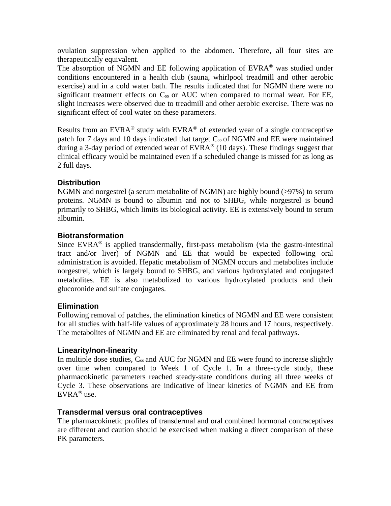ovulation suppression when applied to the abdomen. Therefore, all four sites are therapeutically equivalent.

The absorption of NGMN and EE following application of EVRA<sup>®</sup> was studied under conditions encountered in a health club (sauna, whirlpool treadmill and other aerobic exercise) and in a cold water bath. The results indicated that for NGMN there were no significant treatment effects on  $C_{ss}$  or  $AUC$  when compared to normal wear. For EE, slight increases were observed due to treadmill and other aerobic exercise. There was no significant effect of cool water on these parameters.

Results from an EVRA<sup>®</sup> study with EVRA<sup>®</sup> of extended wear of a single contraceptive patch for 7 days and 10 days indicated that target C<sub>ss</sub> of NGMN and EE were maintained during a 3-day period of extended wear of  $EVRA^{\circledast}$  (10 days). These findings suggest that clinical efficacy would be maintained even if a scheduled change is missed for as long as 2 full days.

### **Distribution**

NGMN and norgestrel (a serum metabolite of NGMN) are highly bound (>97%) to serum proteins. NGMN is bound to albumin and not to SHBG, while norgestrel is bound primarily to SHBG, which limits its biological activity. EE is extensively bound to serum albumin.

### **Biotransformation**

Since EVR $A^{\otimes}$  is applied transdermally, first-pass metabolism (via the gastro-intestinal tract and/or liver) of NGMN and EE that would be expected following oral administration is avoided. Hepatic metabolism of NGMN occurs and metabolites include norgestrel, which is largely bound to SHBG, and various hydroxylated and conjugated metabolites. EE is also metabolized to various hydroxylated products and their glucoronide and sulfate conjugates.

### **Elimination**

Following removal of patches, the elimination kinetics of NGMN and EE were consistent for all studies with half-life values of approximately 28 hours and 17 hours, respectively. The metabolites of NGMN and EE are eliminated by renal and fecal pathways.

### **Linearity/non-linearity**

In multiple dose studies, C<sub>ss</sub> and AUC for NGMN and EE were found to increase slightly over time when compared to Week 1 of Cycle 1. In a three-cycle study, these pharmacokinetic parameters reached steady-state conditions during all three weeks of Cycle 3. These observations are indicative of linear kinetics of NGMN and EE from EVRA® use.

### **Transdermal versus oral contraceptives**

The pharmacokinetic profiles of transdermal and oral combined hormonal contraceptives are different and caution should be exercised when making a direct comparison of these PK parameters.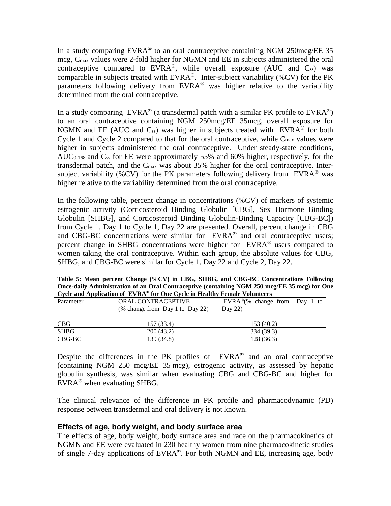In a study comparing  $EVRA^{\otimes}$  to an oral contraceptive containing NGM 250mcg/EE 35 mcg, Cmax values were 2-fold higher for NGMN and EE in subjects administered the oral contraceptive compared to  $EVRA^{\otimes}$ , while overall exposure (AUC and C<sub>ss</sub>) was comparable in subjects treated with  $EVRA^{\otimes}$ . Inter-subject variability (%CV) for the PK parameters following delivery from  $EVRA^{\circledast}$  was higher relative to the variability determined from the oral contraceptive.

In a study comparing  $EVRA^{\otimes}$  (a transdermal patch with a similar PK profile to  $EVRA^{\otimes}$ ) to an oral contraceptive containing NGM 250mcg/EE 35mcg, overall exposure for NGMN and EE (AUC and  $C_{ss}$ ) was higher in subjects treated with EVRA<sup>®</sup> for both Cycle 1 and Cycle 2 compared to that for the oral contraceptive, while  $C_{\text{max}}$  values were higher in subjects administered the oral contraceptive. Under steady-state conditions, AUC<sub>0-168</sub> and C<sub>ss</sub> for EE were approximately 55% and 60% higher, respectively, for the transdermal patch, and the  $C_{\text{max}}$  was about 35% higher for the oral contraceptive. Intersubject variability (%CV) for the PK parameters following delivery from EVRA<sup>®</sup> was higher relative to the variability determined from the oral contraceptive.

In the following table, percent change in concentrations (%CV) of markers of systemic estrogenic activity (Corticosteroid Binding Globulin [CBG], Sex Hormone Binding Globulin [SHBG], and Corticosteroid Binding Globulin-Binding Capacity [CBG-BC]) from Cycle 1, Day 1 to Cycle 1, Day 22 are presented. Overall, percent change in CBG and CBG-BC concentrations were similar for EVRA® and oral contraceptive users; percent change in SHBG concentrations were higher for EVRA® users compared to women taking the oral contraceptive. Within each group, the absolute values for CBG, SHBG, and CBG-BC were similar for Cycle 1, Day 22 and Cycle 2, Day 22.

| Once-gaily Administration of an Oral Contraceptive (containing NGM 250 mcg/EE 55 mcg) for One |                                 |                                           |  |  |  |
|-----------------------------------------------------------------------------------------------|---------------------------------|-------------------------------------------|--|--|--|
| Cycle and Application of EVRA® for One Cycle in Healthy Female Volunteers                     |                                 |                                           |  |  |  |
| Parameter                                                                                     | ORAL CONTRACEPTIVE              | EVRA <sup>®</sup> (% change from Day 1 to |  |  |  |
|                                                                                               | (% change from Day 1 to Day 22) | Day $22$                                  |  |  |  |
|                                                                                               |                                 |                                           |  |  |  |

CBG 157 (33.4) 153 (40.2) SHBG 200 (43.2) 334 (39.3) CBG-BC 139 (34.8) 128 (36.3)

**Table 5: Mean percent Change (%CV) in CBG, SHBG, and CBG-BC Concentrations Following Once-daily Administration of an Oral Contraceptive (containing NGM 250 mcg/EE 35 mcg) for One** 

Despite the differences in the PK profiles of  $EVRA^{\otimes}$  and an oral contraceptive (containing NGM 250 mcg/EE 35 mcg), estrogenic activity, as assessed by hepatic globulin synthesis, was similar when evaluating CBG and CBG-BC and higher for EVRA® when evaluating SHBG.

The clinical relevance of the difference in PK profile and pharmacodynamic (PD) response between transdermal and oral delivery is not known.

### **Effects of age, body weight, and body surface area**

The effects of age, body weight, body surface area and race on the pharmacokinetics of NGMN and EE were evaluated in 230 healthy women from nine pharmacokinetic studies of single 7-day applications of EVRA®. For both NGMN and EE, increasing age, body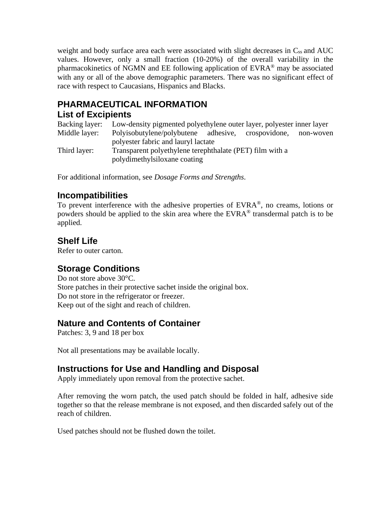weight and body surface area each were associated with slight decreases in  $C_{ss}$  and  $AUC$ values. However, only a small fraction (10-20%) of the overall variability in the pharmacokinetics of NGMN and EE following application of EVRA® may be associated with any or all of the above demographic parameters. There was no significant effect of race with respect to Caucasians, Hispanics and Blacks.

# **PHARMACEUTICAL INFORMATION**

## **List of Excipients**

Backing layer: Low-density pigmented polyethylene outer layer, polyester inner layer Middle layer: Polyisobutylene/polybutene adhesive, crospovidone, non-woven polyester fabric and lauryl lactate Third layer: Transparent polyethylene terephthalate (PET) film with a polydimethylsiloxane coating

For additional information, see *Dosage Forms and Strengths*.

# **Incompatibilities**

To prevent interference with the adhesive properties of  $EVRA^{\otimes}$ , no creams, lotions or powders should be applied to the skin area where the EVRA® transdermal patch is to be applied.

## **Shelf Life**

Refer to outer carton.

# **Storage Conditions**

Do not store above 30°C. Store patches in their protective sachet inside the original box. Do not store in the refrigerator or freezer. Keep out of the sight and reach of children.

# **Nature and Contents of Container**

Patches: 3, 9 and 18 per box

Not all presentations may be available locally.

# **Instructions for Use and Handling and Disposal**

Apply immediately upon removal from the protective sachet.

After removing the worn patch, the used patch should be folded in half, adhesive side together so that the release membrane is not exposed, and then discarded safely out of the reach of children.

Used patches should not be flushed down the toilet.